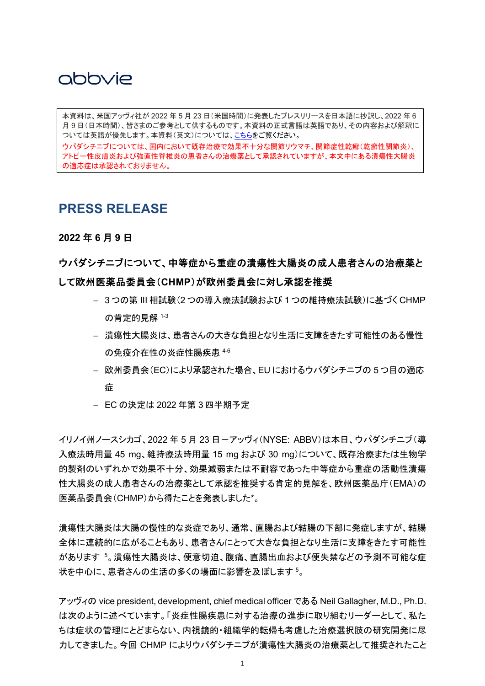月 9 日(日本時間)、皆さまのご参考として供するものです。本資料の正式言語は英語であり、その内容および解釈に 本資料は、米国アッヴィ社が 2022 年 5 月 23 日(米国時間)に発表したプレスリリースを日本語に抄訳し、2022 年 6 ついては英語が優先します。本資料(英文)については[、こちらを](https://news.abbvie.com/news/press-releases/chmp-recommends-european-commission-approval-upadacitinib-rinvoq-for-treatment-adults-with-moderate-to-severe-ulcerative-colitis.htm?view_id=5764)ご覧ください。

ウパダシチニブについては、国内において既存治療で効果不十分な関節リウマチ、関節症性乾癬(乾癬性関節炎)、 アトピー性皮膚炎および強直性脊椎炎の患者さんの治療薬として承認されていますが、本文中にある潰瘍性大腸炎 の適応症は承認されておりません。

### **PRESS RELEASE**

#### **2022** 年 **6** 月 **9** 日

### ウパダシチニブについて、中等症から重症の潰瘍性大腸炎の成人患者さんの治療薬と して欧州医薬品委員会(**CHMP**)が欧州委員会に対し承認を推奨

- 3 つの第 III 相試験(2 つの導入療法試験および 1 つの維持療法試験)に基づく CHMP の肯定的見解 1-3
- 潰瘍性大腸炎は、患者さんの大きな負担となり生活に支障をきたす可能性のある慢性 の免疫介在性の炎症性腸疾患 4-6
- 欧州委員会(EC)により承認された場合、EU におけるウパダシチニブの 5 つ目の適応 症
- EC の決定は 2022 年第 3 四半期予定

イリノイ州ノースシカゴ、2022 年5月 23 日-アッヴィ(NYSE: ABBV)は本日、ウパダシチニブ(導 入療法時用量 45 mg、維持療法時用量 15 mg および 30 mg)について、既存治療または生物学 的製剤のいずれかで効果不十分、効果減弱または不耐容であった中等症から重症の活動性潰瘍 性大腸炎の成人患者さんの治療薬として承認を推奨する肯定的見解を、欧州医薬品庁(EMA)の 医薬品委員会(CHMP)から得たことを発表しました\*。

潰瘍性大腸炎は大腸の慢性的な炎症であり、通常、直腸および結腸の下部に発症しますが、結腸 全体に連続的に広がることもあり、患者さんにとって大きな負担となり生活に支障をきたす可能性 があります <sup>5</sup>。潰瘍性大腸炎は、便意切迫、腹痛、直腸出血および便失禁などの予測不可能な症 状を中心に、患者さんの生活の多くの場面に影響を及ぼします5。

アッヴィの vice president, development, chief medical officer である Neil Gallagher, M.D., Ph.D. は次のように述べています。「炎症性腸疾患に対する治療の進歩に取り組むリーダーとして、私た ちは症状の管理にとどまらない、内視鏡的・組織学的転帰も考慮した治療選択肢の研究開発に尽 力してきました。今回 CHMP によりウパダシチニブが潰瘍性大腸炎の治療薬として推奨されたこと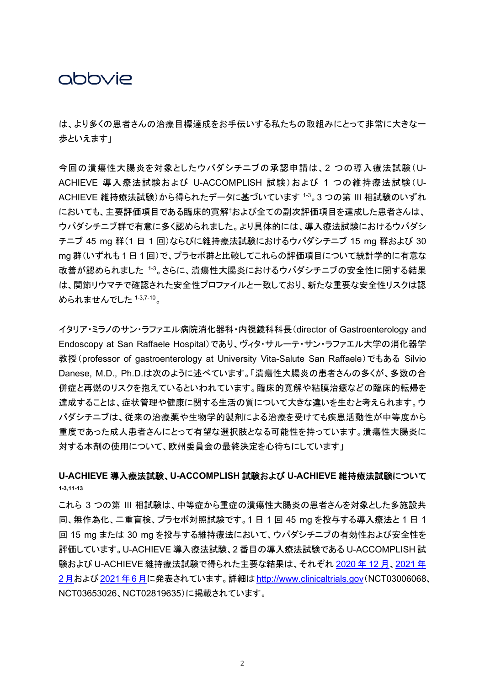は、より多くの患者さんの治療目標達成をお手伝いする私たちの取組みにとって非常に大きな一 歩といえます」

今回の潰瘍性大腸炎を対象としたウパダシチニブの承認申請は、2 つの導入療法試験(U-ACHIEVE 導入療法試験および U-ACCOMPLISH 試験)および 1 つの維持療法試験(U-ACHIEVE 維持療法試験)から得られたデータに基づいています 1-3。3 つの第 III 相試験のいずれ においても、主要評価項目である臨床的寛解†および全ての副次評価項目を達成した患者さんは、 ウパダシチニブ群で有意に多く認められました。より具体的には、導入療法試験におけるウパダシ チニブ 45 mg 群(1 日 1 回)ならびに維持療法試験におけるウパダシチニブ 15 mg 群および 30 mg 群(いずれも 1 日 1 回)で、プラセボ群と比較してこれらの評価項目について統計学的に有意な 改善が認められました 1-3。さらに、潰瘍性大腸炎におけるウパダシチニブの安全性に関する結果 は、関節リウマチで確認された安全性プロファイルと一致しており、新たな重要な安全性リスクは認 められませんでした 1-3,7-10。

イタリア・ミラノのサン・ラファエル病院消化器科・内視鏡科科長(director of Gastroenterology and Endoscopy at San Raffaele Hospital)であり、ヴィタ・サルーテ・サン・ラファエル大学の消化器学 教授(professor of gastroenterology at University Vita-Salute San Raffaele)でもある Silvio Danese, M.D., Ph.D.は次のように述べています。「潰瘍性大腸炎の患者さんの多くが、多数の合 併症と再燃のリスクを抱えているといわれています。臨床的寛解や粘膜治癒などの臨床的転帰を 達成することは、症状管理や健康に関する生活の質について大きな違いを生むと考えられます。ウ パダシチニブは、従来の治療薬や生物学的製剤による治療を受けても疾患活動性が中等度から 重度であった成人患者さんにとって有望な選択肢となる可能性を持っています。潰瘍性大腸炎に 対する本剤の使用について、欧州委員会の最終決定を心待ちにしています」

### **U-ACHIEVE** 導入療法試験、**U-ACCOMPLISH** 試験および **U-ACHIEVE** 維持療法試験について **1-3,11-13**

これら 3 つの第 III 相試験は、中等症から重症の潰瘍性大腸炎の患者さんを対象とした多施設共 同、無作為化、二重盲検、プラセボ対照試験です。1 日 1 回 45 mg を投与する導入療法と 1 日 1 回 15 mg または 30 mg を投与する維持療法において、ウパダシチニブの有効性および安全性を 評価しています。U-ACHIEVE 導入療法試験、2 番目の導入療法試験である U-ACCOMPLISH 試 験および U-ACHIEVE 維持療法試験で得られた主要な結果は、それぞれ [2020](https://www.abbvie.co.jp/content/dam/abbvie-dotcom/jp/documents/press-release/2020_1224_01.pdf) 年 12 [月、](https://www.abbvie.co.jp/content/dam/abbvie-dotcom/jp/documents/press-release/2020_1224_01.pdf)[2021](https://www.abbvie.co.jp/content/dam/abbvie-dotcom/jp/documents/press-release/2021_0305.pdf) [年](https://www.abbvie.co.jp/content/dam/abbvie-dotcom/jp/documents/press-release/2021_0305.pdf) [2](https://www.abbvie.co.jp/content/dam/abbvie-dotcom/jp/documents/press-release/2021_0305.pdf)[月お](https://www.abbvie.co.jp/content/dam/abbvie-dotcom/jp/documents/press-release/2021_0305.pdf)よび[2021](https://www.abbvie.co.jp/content/dam/abbvie-dotcom/jp/documents/press-release/2021_0714.pdf)年6[月に](https://www.abbvie.co.jp/content/dam/abbvie-dotcom/jp/documents/press-release/2021_0714.pdf)発表されています。詳細は[http://www.clinicaltrials.gov](http://www.clinicaltrials.gov/)(NCT03006068、 NCT03653026、NCT02819635)に掲載されています。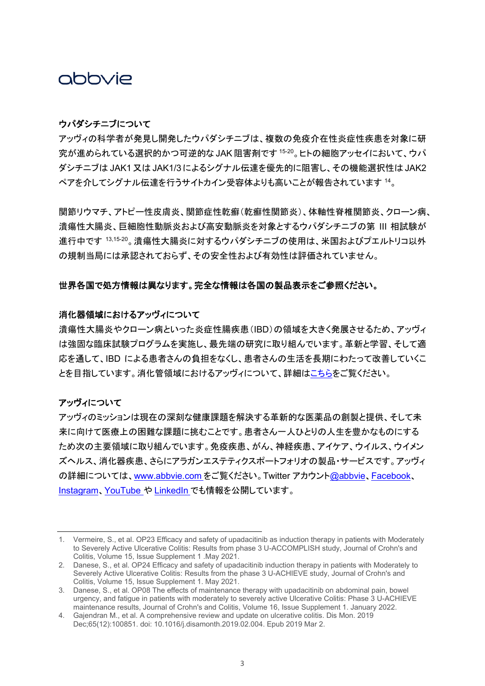### ウパダシチニブについて

アッヴィの科学者が発見し開発したウパダシチニブは、複数の免疫介在性炎症性疾患を対象に研 究が進められている選択的かつ可逆的な JAK 阻害剤です 15-20。ヒトの細胞アッセイにおいて、ウパ ダシチニブは JAK1又は JAK1/3 によるシグナル伝達を優先的に阻害し、その機能選択性は JAK2 ペアを介してシグナル伝達を行うサイトカイン受容体よりも高いことが報告されています <sup>14</sup>。

関節リウマチ、アトピー性皮膚炎、関節症性乾癬(乾癬性関節炎)、体軸性脊椎関節炎、クローン病、 潰瘍性大腸炎、巨細胞性動脈炎および高安動脈炎を対象とするウパダシチニブの第 III 相試験が 進行中です 13,15-20。 潰瘍性大腸炎に対するウパダシチニブの使用は、米国およびプエルトリコ以外 の規制当局には承認されておらず、その安全性および有効性は評価されていません。

#### 世界各国で処方情報は異なります。完全な情報は各国の製品表示をご参照ください。

#### 消化器領域におけるアッヴィについて

潰瘍性大腸炎やクローン病といった炎症性腸疾患(IBD)の領域を大きく発展させるため、アッヴィ は強固な臨床試験プログラムを実施し、最先端の研究に取り組んでいます。革新と学習、そして適 応を通して、IBD による患者さんの負担をなくし、患者さんの生活を長期にわたって改善していくこ とを目指しています。消化管領域におけるアッヴィについて、詳細[はこちらを](https://www.abbvie.com/our-science/therapeutic-focus-areas/immunology/immunology-focus-areas/gastroenterology.html.)ご覧ください。

### アッヴィについて

アッヴィのミッションは現在の深刻な健康課題を解決する革新的な医薬品の創製と提供、そして未 来に向けて医療上の困難な課題に挑むことです。患者さん一人ひとりの人生を豊かなものにする ため次の主要領域に取り組んでいます。免疫疾患、がん、神経疾患、アイケア、ウイルス、ウイメン ズヘルス、消化器疾患、さらにアラガンエステティクスポートフォリオの製品・サービスです。アッヴィ の詳細については、[www.abbvie.com](http://www.abbvie.com/) をご覧ください。Twitter アカウント[@abbvie](https://twitter.com/abbvie)、[Facebook](https://www.facebook.com/AbbVieGlobal)、 [Instagram](https://www.instagram.com/abbvie/)、[YouTube](https://www.youtube.com/user/AbbVie) や [LinkedIn](https://www.linkedin.com/company/abbvie) でも情報を公開しています。

<sup>1.</sup> Vermeire, S., et al. OP23 Efficacy and safety of upadacitinib as induction therapy in patients with Moderately to Severely Active Ulcerative Colitis: Results from phase 3 U-ACCOMPLISH study, Journal of Crohn's and Colitis, Volume 15, Issue Supplement 1 .May 2021.

<sup>2.</sup> Danese, S., et al. OP24 Efficacy and safety of upadacitinib induction therapy in patients with Moderately to Severely Active Ulcerative Colitis: Results from the phase 3 U-ACHIEVE study, Journal of Crohn's and Colitis, Volume 15, Issue Supplement 1. May 2021.

<sup>3.</sup> Danese, S., et al. OP08 The effects of maintenance therapy with upadacitinib on abdominal pain, bowel urgency, and fatigue in patients with moderately to severely active Ulcerative Colitis: Phase 3 U-ACHIEVE maintenance results, Journal of Crohn's and Colitis, Volume 16, Issue Supplement 1. January 2022.

<sup>4.</sup> Gajendran M., et al. A comprehensive review and update on ulcerative colitis. Dis Mon. 2019 Dec;65(12):100851. doi: 10.1016/j.disamonth.2019.02.004. Epub 2019 Mar 2.